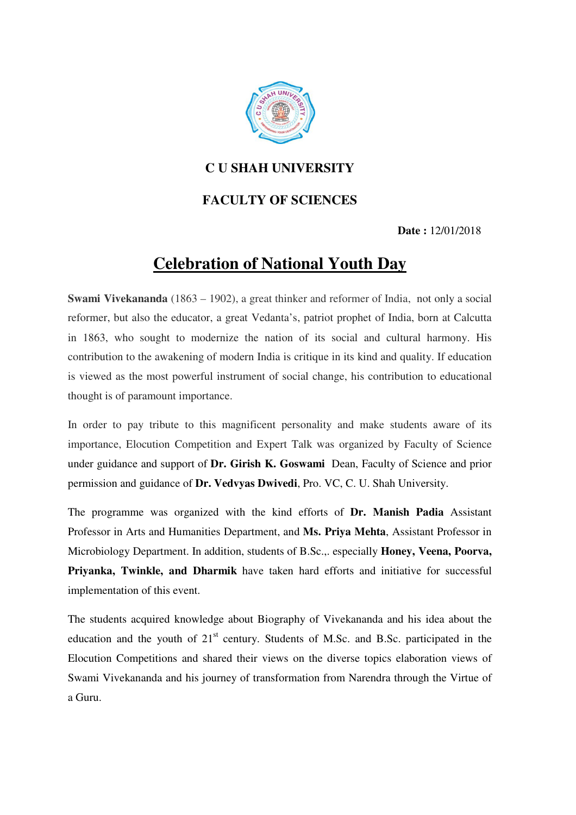

## **C U SHAH UNIVERSITY**

## **FACULTY OF SCIENCES**

 **Date :** 12/01/2018

## **Celebration of National Youth Day**

**Swami Vivekananda** (1863 – 1902), a great thinker and reformer of India, not only a social reformer, but also the educator, a great Vedanta's, patriot prophet of India, born at Calcutta in 1863, who sought to modernize the nation of its social and cultural harmony. His contribution to the awakening of modern India is critique in its kind and quality. If education is viewed as the most powerful instrument of social change, his contribution to educational thought is of paramount importance.

In order to pay tribute to this magnificent personality and make students aware of its importance, Elocution Competition and Expert Talk was organized by Faculty of Science under guidance and support of **Dr. Girish K. Goswami** Dean, Faculty of Science and prior permission and guidance of **Dr. Vedvyas Dwivedi**, Pro. VC, C. U. Shah University.

The programme was organized with the kind efforts of **Dr. Manish Padia** Assistant Professor in Arts and Humanities Department, and **Ms. Priya Mehta**, Assistant Professor in Microbiology Department. In addition, students of B.Sc.,. especially **Honey, Veena, Poorva, Priyanka, Twinkle, and Dharmik** have taken hard efforts and initiative for successful implementation of this event.

The students acquired knowledge about Biography of Vivekananda and his idea about the education and the youth of  $21<sup>st</sup>$  century. Students of M.Sc. and B.Sc. participated in the Elocution Competitions and shared their views on the diverse topics elaboration views of Swami Vivekananda and his journey of transformation from Narendra through the Virtue of a Guru.